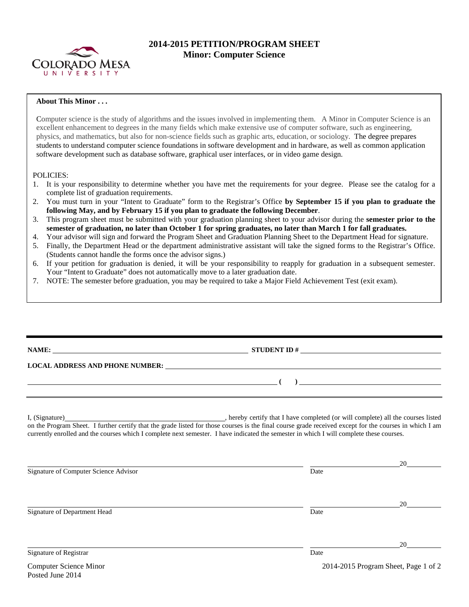

## **2014-2015 PETITION/PROGRAM SHEET Minor: Computer Science**

## **About This Minor . . .**

Computer science is the study of algorithms and the issues involved in implementing them. A Minor in Computer Science is an excellent enhancement to degrees in the many fields which make extensive use of computer software, such as engineering, physics, and mathematics, but also for non-science fields such as graphic arts, education, or sociology. The degree prepares students to understand computer science foundations in software development and in hardware, as well as common application software development such as database software, graphical user interfaces, or in video game design.

## POLICIES:

- 1. It is your responsibility to determine whether you have met the requirements for your degree. Please see the catalog for a complete list of graduation requirements.
- 2. You must turn in your "Intent to Graduate" form to the Registrar's Office **by September 15 if you plan to graduate the following May, and by February 15 if you plan to graduate the following December**.
- 3. This program sheet must be submitted with your graduation planning sheet to your advisor during the **semester prior to the semester of graduation, no later than October 1 for spring graduates, no later than March 1 for fall graduates.**
- 4. Your advisor will sign and forward the Program Sheet and Graduation Planning Sheet to the Department Head for signature.
- 5. Finally, the Department Head or the department administrative assistant will take the signed forms to the Registrar's Office. (Students cannot handle the forms once the advisor signs.)
- 6. If your petition for graduation is denied, it will be your responsibility to reapply for graduation in a subsequent semester. Your "Intent to Graduate" does not automatically move to a later graduation date.
- 7. NOTE: The semester before graduation, you may be required to take a Major Field Achievement Test (exit exam).

| $\overline{a}$ ( ) and the contract of $\overline{a}$ ( ) and the contract of $\overline{a}$ ( ) and the contract of $\overline{a}$<br><u> 1988 - Ann an Dùbhlachd ann an Dùbhlachd ann an Dùbhlachd ann an Dùbhlachd ann an Dùbhlachd ann an Dùbhlachd </u>                                                                                                                  |      |    |
|-------------------------------------------------------------------------------------------------------------------------------------------------------------------------------------------------------------------------------------------------------------------------------------------------------------------------------------------------------------------------------|------|----|
| I, (Signature) (Signature) (Signature) (Signature) (Signature) (Signature) (Signature) all the courses listed<br>on the Program Sheet. I further certify that the grade listed for those courses is the final course grade receiv<br>currently enrolled and the courses which I complete next semester. I have indicated the semester in which I will complete these courses. |      |    |
| Signature of Computer Science Advisor                                                                                                                                                                                                                                                                                                                                         | Date | 20 |
| Signature of Department Head                                                                                                                                                                                                                                                                                                                                                  | Date | 20 |
| Signature of Registrar                                                                                                                                                                                                                                                                                                                                                        | Date | 20 |